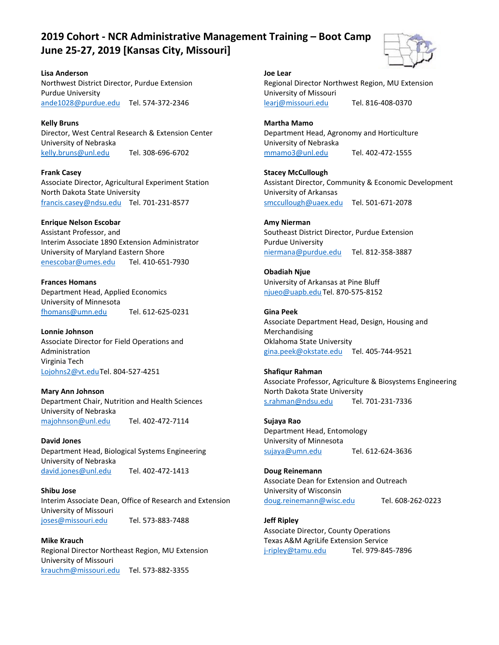# **2019 Cohort - NCR Administrative Management Training – Boot Camp June 25-27, 2019 [Kansas City, Missouri]**



**Lisa Anderson** Northwest District Director, Purdue Extension Purdue University ande1028@purdue.edu [Tel. 574-372-2346](tel:5743722346)

**Kelly Bruns** Director, West Central Research & Extension Center University of Nebraska kelly.bruns@unl.edu [Tel. 308-696-6702](tel:5743722346)

**Frank Casey** Associate Director, Agricultural Experiment Station North Dakota State University francis.casey@ndsu.edu [Tel. 701-231-8577](tel:5743722346)

## **Enrique Nelson Escobar**

Assistant Professor, and Interim Associate 1890 Extension Administrator University of Maryland Eastern Shore [enescobar@umes.edu](mailto:enescobar@umes.edu) Tel. 410-651-7930

**Frances Homans** Department Head, Applied Economics University of Minnesota fhomans@umn.edu [Tel. 612-625-0231](tel:5743722346)

**Lonnie Johnson** Associate Director for Field Operations and Administration Virginia Tech Lojohns2@vt.ed[uTel. 804-527-4251](tel:5743722346)

**Mary Ann Johnson** Department Chair, Nutrition and Health Sciences University of Nebraska majohnson@unl.edu [Tel. 402-472-7114](tel:5743722346)

**David Jones** Department Head, Biological Systems Engineering University of Nebraska david.jones@unl.edu [Tel. 402-472-1413](tel:5743722346)

**Shibu Jose** Interim Associate Dean, Office of Research and Extension University of Missouri joses@missouri.edu [Tel. 573-883-7488](tel:5743722346)

**Mike Krauch** Regional Director Northeast Region, MU Extension University of Missouri krauchm@missouri.edu [Tel. 573-882-3355](tel:5743722346)

**Joe Lear** Regional Director Northwest Region, MU Extension University of Missouri learj@missouri.edu [Tel. 816-408-0370](tel:5743722346)

**Martha Mamo** Department Head, Agronomy and Horticulture University of Nebraska mmamo3@unl.edu [Tel. 402-472-1555](tel:5743722346)

**Stacey McCullough** Assistant Director, Community & Economic Development University of Arkansas smccullough@uaex.edu [Tel. 501-671-2078](tel:5743722346)

**Amy Nierman** Southeast District Director, Purdue Extension Purdue University niermana@purdue.edu [Tel. 812-358-3887](tel:5743722346)

**Obadiah Njue** University of Arkansas at Pine Bluff njueo@uapb.edu [Tel. 870-575-8152](tel:5743722346)

**Gina Peek** Associate Department Head, Design, Housing and Merchandising Oklahoma State University gina.peek@okstate.edu [Tel. 405-744-9521](tel:5743722346)

**Shafiqur Rahman** Associate Professor, Agriculture & Biosystems Engineering North Dakota State University s.rahman@ndsu.edu [Tel. 701-231-7336](tel:5743722346)

**Sujaya Rao** Department Head, Entomology University of Minnesota sujaya@umn.edu [Tel. 612-624-3636](tel:5743722346)

**Doug Reinemann** Associate Dean for Extension and Outreach University of Wisconsin doug.reinemann@wisc.edu [Tel. 608-262-0223](tel:5743722346)

**Jeff Ripley** Associate Director, County Operations Texas A&M AgriLife Extension Service j-ripley@tamu.edu [Tel. 979-845-7896](tel:5743722346)